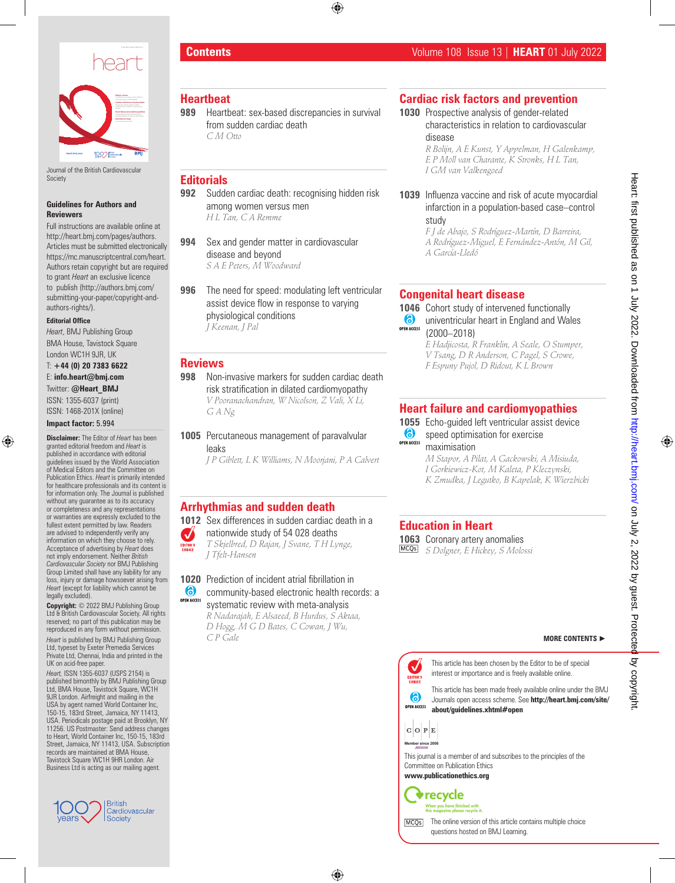

Journal of the British Cardiovascular Society

**heart.bmj.com**

#### **Guidelines for Authors and Reviewers**

Full instructions are available online at http://heart.bmj.com/pages/authors. Articles must be submitted electronically https://mc.manuscriptcentral.com/heart. Authors retain copyright but are required to grant *Heart* an exclusive licence to publish (http://authors.bmj.com/ submitting-your-paper/copyright-andauthors-rights/).

#### **Editorial Office**

*Heart*, BMJ Publishing Group BMA House, Tavistock Square London WC1H 9JR, UK

#### T: **+44 (0) 20 7383 6622**  E: **info.heart@bmj.com**

Twitter: **@Heart\_BMJ** ISSN: 1355-6037 (print)

ISSN: 1468-201X (online)

#### **Impact factor:** 5.994

**Disclaimer:** The Editor of *Heart* has been granted editorial freedom and *Heart* is published in accordance with editorial guidelines issued by the World Association of Medical Editors and the Committee on Publication Ethics. *Heart* is primarily intended for healthcare professionals and its content is for information only. The Journal is published without any guarantee as to its accuracy or completeness and any representations or warranties are expressly excluded to the fullest extent permitted by law. Readers are advised to independently verify any information on which they choose to rely. Acceptance of advertising by *Heart* does not imply endorsement. Neither *British Cardiovascular Society* nor BMJ Publishing Group Limited shall have any liability for any loss, injury or damage howsoever arising from *Heart* (except for liability which cannot be legally excluded).

**Copyright:** © 2022 BMJ Publishing Group Ltd & British Cardiovascular Society. All rights reserved; no part of this publication may be reproduced in any form without permission.

*Heart* is published by BMJ Publishing Group Ltd, typeset by Exeter Premedia Services Private Ltd, Chennai, India and printed in the UK on acid-free paper.

*Heart,* ISSN 1355-6037 (USPS 2154) is published bimonthly by BMJ Publishing Group Ltd, BMA House, Tavistock Square, WC1H 9JR London. Airfreight and mailing in the USA by agent named World Container Inc, 150-15, 183rd Street, Jamaica, NY 11413, USA. Periodicals postage paid at Brooklyn, NY 11256. US Postmaster: Send address changes to Heart, World Container Inc, 150-15, 183rd Street, Jamaica, NY 11413, USA. Subscription records are maintained at BMA House, Tavistock Square WC1H 9HR London. Air Business Ltd is acting as our mailing agent*.*



# **Heartbeat**

**989** Heartbeat: sex-based discrepancies in survival from sudden cardiac death *C M Otto*

### **Editorials**

- **992** Sudden cardiac death: recognising hidden risk among women versus men *H L Tan, C A Remme*
- **994** Sex and gender matter in cardiovascular disease and beyond *S A E Peters, M Woodward*
- **996** The need for speed: modulating left ventricular assist device flow in response to varying physiological conditions *J Keenan, J Pal*

## **Reviews**

- **998** Non-invasive markers for sudden cardiac death risk stratification in dilated cardiomyopathy *V Pooranachandran, W Nicolson, Z Vali, X Li, G A Ng*
- **1005** Percutaneous management of paravalvular leaks

*J P Giblett, L K Williams, N Moorjani, P A Calvert*

# **Arrhythmias and sudden death**

**1012** Sex differences in sudden cardiac death in a

#### nationwide study of 54 028 deaths  $\boldsymbol{\mathcal{U}}$

*T Skjelbred, D Rajan, J Svane, T H Lynge, J Tfelt-Hansen*

OPEN ACCESS systematic review with meta-analysis

*R Nadarajah, E Alsaeed, B Hurdus, S Aktaa, D Hogg, M G D Bates, C Cowan, J Wu, C P Gale*

**Cardiac risk factors and prevention**

#### **1030** Prospective analysis of gender-related characteristics in relation to cardiovascular disease

*R Bolijn, A E Kunst, Y Appelman, H Galenkamp, E P Moll van Charante, K Stronks, H L Tan, I GM van Valkengoed*

### **1039** Influenza vaccine and risk of acute myocardial infarction in a population-based case–control study

*F J de Abajo, S Rodríguez-Martín, D Barreira, A Rodríguez-Miguel, E Fernández-Antón, M Gil, A García-Lledó*

# **Congenital heart disease**

**1046** Cohort study of intervened functionally **6** univentricular heart in England and Wales **OPEN ACCESS** (2000–2018)

*E Hadjicosta, R Franklin, A Seale, O Stumper, V Tsang, D R Anderson, C Pagel, S Crowe, F Espuny Pujol, D Ridout, K L Brown*

# **Heart failure and cardiomyopathies**

**1055** Echo-guided left ventricular assist device speed optimisation for exercise

**OPEN ACCESS** maximisation

> *M Stapor, A Pilat, A Gackowski, A Misiuda, I Gorkiewicz-Kot, M Kaleta, P Kleczynski, K Zmudka, J Legutko, B Kapelak, K Wierzbicki*

# **Education in Heart**

**1063** Coronary artery anomalies *S Dolgner, E Hickey, S Molossi*

This article has been chosen by the Editor to be of special  $\checkmark$ interest or importance and is freely available online. EDITOR'S<br>CHOICE

This article has been made freely available online under the BMJ Journals open access scheme. See **http://heart.bmj.com/site/ OPEN ACCESS about/guidelines.xhtml#open**



6

**MCO<sub>S</sub>** 

This journal is a member of and subscribes to the principles of the Committee on Publication Ethics

**www.publicationethics.org**





The online version of this article contains multiple choice questions hosted on BMJ Learning.

# **1020** Prediction of incident atrial fibrillation in<br> **6** community-based electronic health reco community-based electronic health records: a